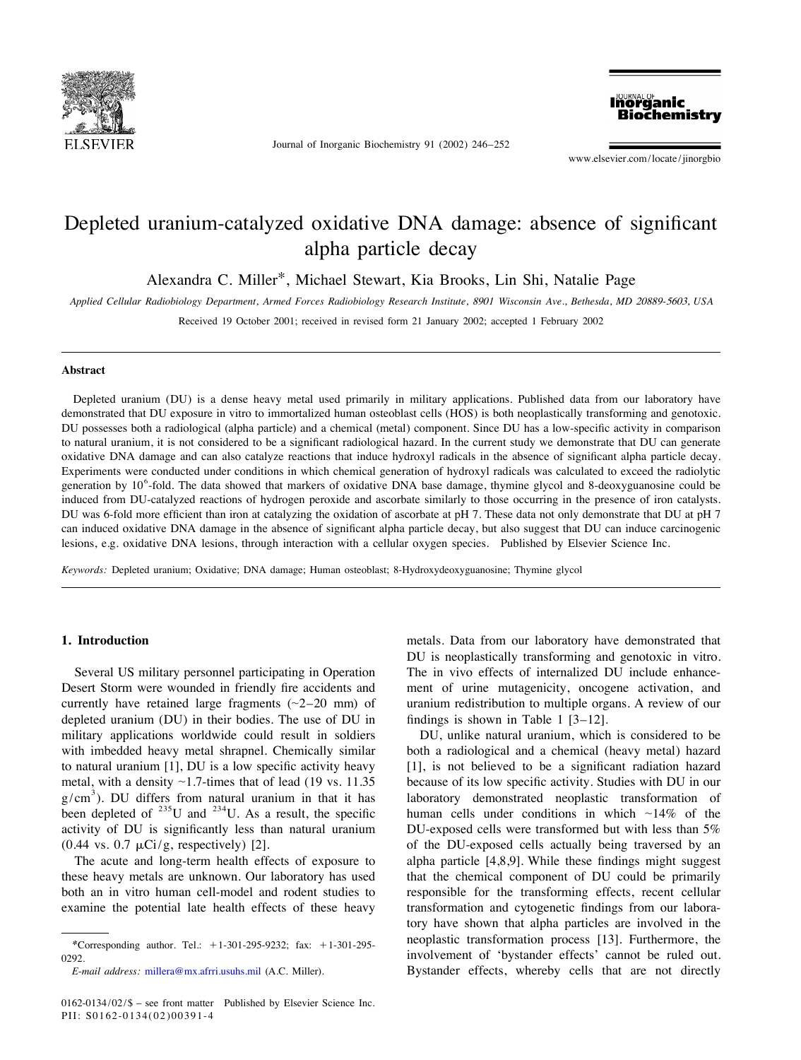

Journal of Inorganic Biochemistry 91 (2002) 246–252

**Inorganic Biochemistry** 

www.elsevier.com/locate/jinorgbio

# Depleted uranium-catalyzed oxidative DNA damage: absence of significant alpha particle decay

Alexandra C. Miller\*, Michael Stewart, Kia Brooks, Lin Shi, Natalie Page

*Applied Cellular Radiobiology Department*, *Armed Forces Radiobiology Research Institute*, <sup>8901</sup> *Wisconsin Ave*., *Bethesda*, *MD* <sup>20889</sup>-5603, *USA*

Received 19 October 2001; received in revised form 21 January 2002; accepted 1 February 2002

### **Abstract**

Depleted uranium (DU) is a dense heavy metal used primarily in military applications. Published data from our laboratory have demonstrated that DU exposure in vitro to immortalized human osteoblast cells (HOS) is both neoplastically transforming and genotoxic. DU possesses both a radiological (alpha particle) and a chemical (metal) component. Since DU has a low-specific activity in comparison to natural uranium, it is not considered to be a significant radiological hazard. In the current study we demonstrate that DU can generate oxidative DNA damage and can also catalyze reactions that induce hydroxyl radicals in the absence of significant alpha particle decay. Experiments were conducted under conditions in which chemical generation of hydroxyl radicals was calculated to exceed the radiolytic generation by 10<sup>6</sup>-fold. The data showed that markers of oxidative DNA base damage, thy induced from DU-catalyzed reactions of hydrogen peroxide and ascorbate similarly to those occurring in the presence of iron catalysts. DU was 6-fold more efficient than iron at catalyzing the oxidation of ascorbate at pH 7. These data not only demonstrate that DU at pH 7 can induced oxidative DNA damage in the absence of significant alpha particle decay, but also suggest that DU can induce carcinogenic lesions, e.g. oxidative DNA lesions, through interaction with a cellular oxygen species. Published by Elsevier Science Inc.

*Keywords*: Depleted uranium; Oxidative; DNA damage; Human osteoblast; 8-Hydroxydeoxyguanosine; Thymine glycol

Desert Storm were wounded in friendly fire accidents and ment of urine mutagenicity, oncogene activation, and currently have retained large fragments  $(\sim 2-20 \text{ mm})$  of uranium redistribution to multiple organs. A review of our depleted uranium (DU) in their bodies. The use of DU in findings is shown in Table 1 [3–12]. military applications worldwide could result in soldiers DU, unlike natural uranium, which is considered to be with imbedded heavy metal shrapnel. Chemically similar both a radiological and a chemical (heavy metal) hazard to natural uranium [1], DU is a low specific activity heavy [1], is not believed to be a significant radiation hazard metal, with a density ~1.7-times that of lead (19 vs. 11.35 because of its low specific activity. Studies with DU in our  $g/cm<sup>3</sup>$ ). DU differs from natural uranium in that it has laboratory demonstrated neoplastic tran activity of DU is significantly less than natural uranium DU-exposed cells were transformed but with less than 5%  $(0.44 \text{ vs. } 0.7 \mu\text{Ci/g},$  respectively) [2]. of the DU-exposed cells actually being traversed by an

these heavy metals are unknown. Our laboratory has used that the chemical component of DU could be primarily both an in vitro human cell-model and rodent studies to responsible for the transforming effects, recent cellular examine the potential late health effects of these heavy transformation and cytogenetic findings from our labora-

**1. Introduction** metals. Data from our laboratory have demonstrated that DU is neoplastically transforming and genotoxic in vitro. Several US military personnel participating in Operation The in vivo effects of internalized DU include enhance-

The acute and long-term health effects of exposure to alpha particle [4,8,9]. While these findings might suggest tory have shown that alpha particles are involved in the \*Corresponding author. Tel.: +1-301-295-9232; fax: +1-301-295-<br>\*Corresponding author. Tel.: +1-301-295-9232; fax: +1-301-295-0292. *E*-*mail address*: [millera@mx.afrri.usuhs.mil](mailto:millera@mx.afrri.usuhs.mil) (A.C. Miller). Bystander effects, whereby cells that are not directly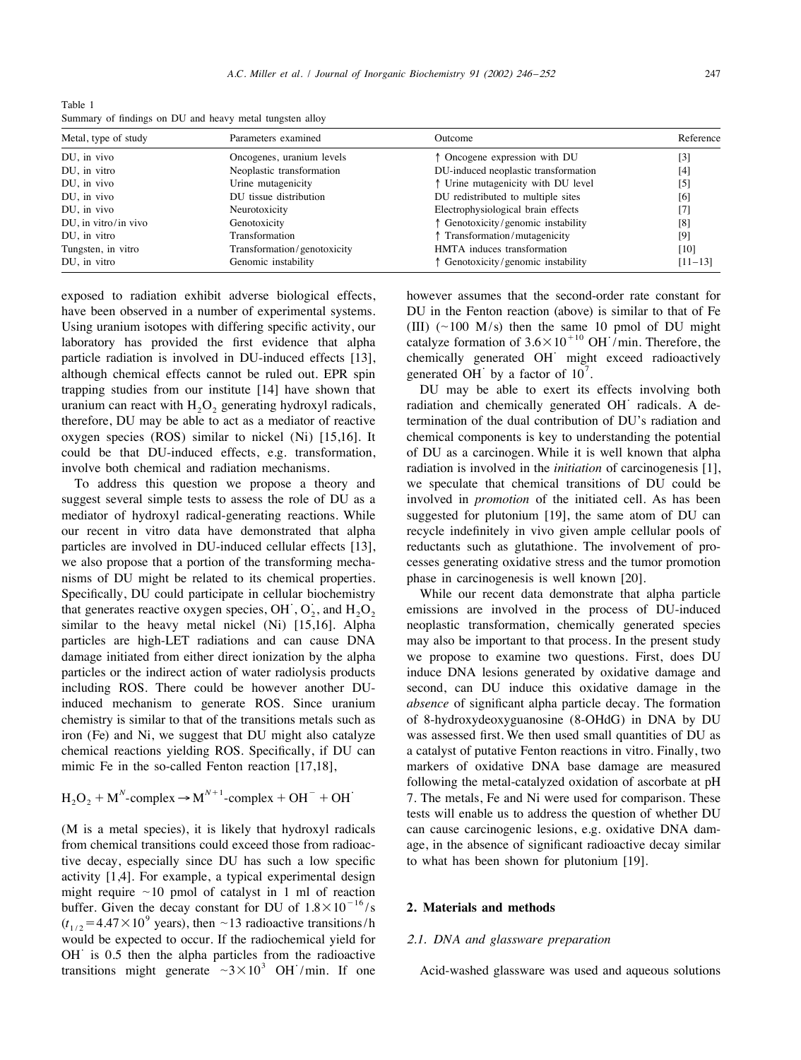Table 1 Summary of findings on DU and heavy metal tungsten alloy

| Metal, type of study | Parameters examined         | Outcome                              | Reference                    |
|----------------------|-----------------------------|--------------------------------------|------------------------------|
| DU, in vivo          | Oncogenes, uranium levels   | ↑ Oncogene expression with DU        | [3]                          |
| DU, in vitro         | Neoplastic transformation   | DU-induced neoplastic transformation | $[4]$                        |
| DU, in vivo          | Urine mutagenicity          | ↑ Urine mutagenicity with DU level   | $\left[5\right]$             |
| DU, in vivo          | DU tissue distribution      | DU redistributed to multiple sites   | [6]                          |
| DU, in vivo          | Neurotoxicity               | Electrophysiological brain effects   | $\left\lceil 7 \right\rceil$ |
| DU, in vitro/in vivo | Genotoxicity                | ↑ Genotoxicity/genomic instability   | [8]                          |
| DU, in vitro         | Transformation              | ↑ Transformation/mutagenicity        | [9]                          |
| Tungsten, in vitro   | Transformation/genotoxicity | HMTA induces transformation          | $[10]$                       |
| DU, in vitro         | Genomic instability         | Genotoxicity/genomic instability     | $[11 - 13]$                  |

have been observed in a number of experimental systems. DU in the Fenton reaction (above) is similar to that of Fe Using uranium isotopes with differing specific activity, our (III) ( $\sim$ 100 M/s) then the same 10 pmol of DU might 110 aboratory has provided the first evidence that alpha catalyze formation of  $3.6\times10^{+10}$  OH /min. The particle radiation is involved in DU-induced effects [13], chemically generated OH might exceed radioactively although chemical effects cannot be ruled out. EPR spin generated OH by a factor of  $10^7$ . trapping studies from our institute [14] have shown that DU may be able to exert its effects involving both radiation can react with  $H_2O_2$  generating hydroxyl radicals, radiation and chemically generated OH radicals. A oxygen species (ROS) similar to nickel (Ni) [15,16]. It chemical components is key to understanding the potential could be that DU-induced effects, e.g. transformation, of DU as a carcinogen. While it is well known that alpha involve both chemical and radiation mechanisms. radiation is involved in the *initiation* of carcinogenesis [1],

suggest several simple tests to assess the role of DU as a involved in *promotion* of the initiated cell. As has been mediator of hydroxyl radical-generating reactions. While suggested for plutonium [19], the same atom of DU can our recent in vitro data have demonstrated that alpha recycle indefinitely in vivo given ample cellular pools of particles are involved in DU-induced cellular effects [13], reductants such as glutathione. The involvement of prowe also propose that a portion of the transforming mecha- cesses generating oxidative stress and the tumor promotion nisms of DU might be related to its chemical properties. phase in carcinogenesis is well known [20]. Specifically, DU could participate in cellular biochemistry<br>that generates reactive oxygen species, OH,  $O_2$ , and  $H_2O_2$ <br>missions are involved in the process of DU-induced<br>similar to the heavy metal nickel (Ni) [15,16] particles are high-LET radiations and can cause DNA may also be important to that process. In the present study damage initiated from either direct ionization by the alpha we propose to examine two questions. First, does DU particles or the indirect action of water radiolysis products induce DNA lesions generated by oxidative damage and including ROS. There could be however another DU- second, can DU induce this oxidative damage in the induced mechanism to generate ROS. Since uranium *absence* of significant alpha particle decay. The formation chemistry is similar to that of the transitions metals such as of 8-hydroxydeoxyguanosine (8-OHdG) in DNA by DU iron (Fe) and Ni, we suggest that DU might also catalyze was assessed first. We then used small quantities of DU as chemical reactions yielding ROS. Specifically, if DU can a catalyst of putative Fenton reactions in vitro. Finally, two mimic Fe in the so-called Fenton reaction [17,18], markers of oxidative DNA base damage are measured

$$
H_2O_2 + M^N
$$
-complex  $\rightarrow$  M<sup>N+1</sup>-complex + OH<sup>-</sup> + OH<sup>-</sup>

from chemical transitions could exceed those from radioac- age, in the absence of significant radioactive decay similar tive decay, especially since DU has such a low specific to what has been shown for plutonium [19]. activity [1,4]. For example, a typical experimental design might require ~10 pmol of catalyst in 1 ml of reaction<br>buffer. Given the decay constant for DU of  $1.8 \times 10^{-16}/s$ <br> $(t_{1/2} = 4.47 \times 10^{9}$  years), then ~13 radioactive transitions/h<br>would be expected to occur. If the radioc OH is 0.5 then the alpha particles from the radioactive<br>transitions might generate  $\sim 3 \times 10^3$  OH /min. If one Acid-washed glassware was used and aqueous solutions

exposed to radiation exhibit adverse biological effects, however assumes that the second-order rate constant for

termination of the dual contribution of DU's radiation and To address this question we propose a theory and we speculate that chemical transitions of DU could be

neoplastic transformation, chemically generated species following the metal-catalyzed oxidation of ascorbate at pH<br> $N_2O_2 + M^N$ -complex  $\rightarrow M^{N+1}$ -complex + OH  $^-$  + OH  $^+$  7. The metals, Fe and Ni were used for comparison. These tests will enable us to address the question of whether DU (M is a metal species), it is likely that hydroxyl radicals can cause carcinogenic lesions, e.g. oxidative DNA dam-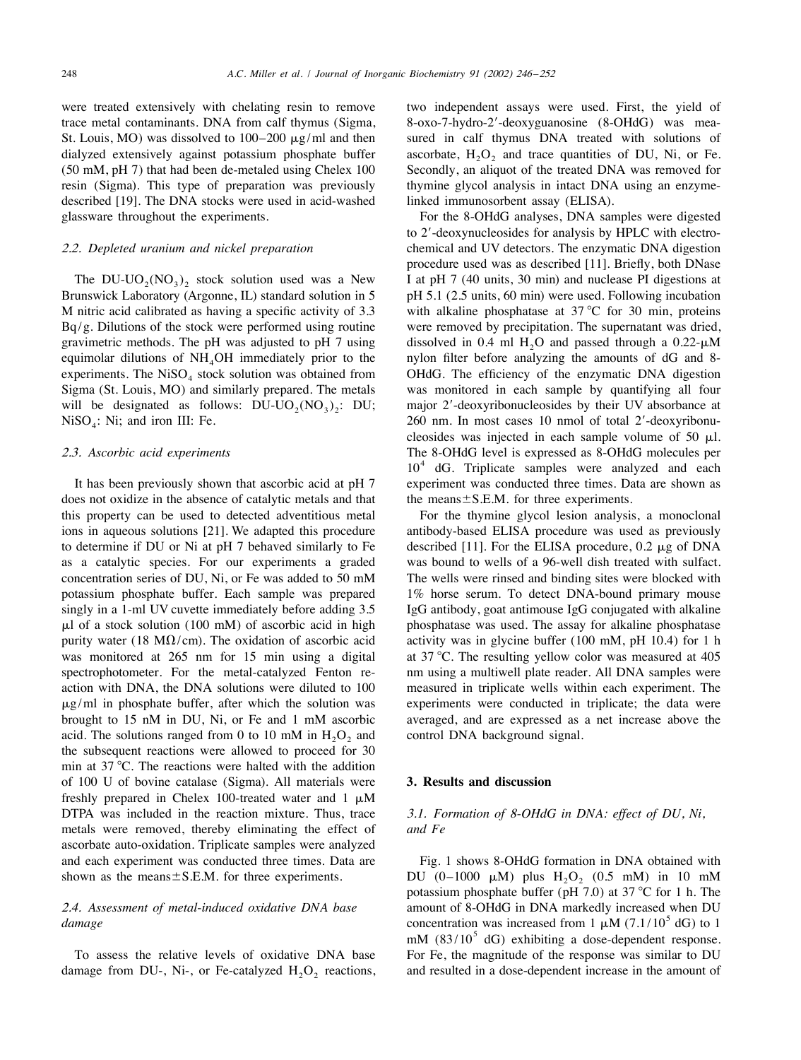trace metal contaminants. DNA from calf thymus (Sigma, 8-oxo-7-hydro-2'-deoxyguanosine (8-OHdG) was mea-St. Louis, MO) was dissolved to  $100-200 \mu g/ml$  and then sured in calf thymus DNA treated with solutions of dialyzed extensively against potassium phosphate buffer ascorbate,  $H_2O_2$  and trace quantities of DU, Ni, or Fe. (50 mM, pH 7) that had been de-metaled using Chelex 100 Secondly, an aliquot of the treated DNA was remove resin (Sigma). This type of preparation was previously thymine glycol analysis in intact DNA using an enzymedescribed [19]. The DNA stocks were used in acid-washed linked immunosorbent assay (ELISA). glassware throughout the experiments. For the 8-OHdG analyses, DNA samples were digested

The DU-UO<sub>2</sub>(NO<sub>3</sub>)<sub>2</sub> stock solution used was a New I at pH 7 (40 units, 30 min) and nuclease PI digestions at Brunswick Laboratory (Argonne, IL) standard solution in 5 pH 5.1 (2.5 units, 60 min) were used. Following inc M nitric acid calibrated as having a specific activity of 3.3 with alkaline phosphatase at 37 °C for 30 min, proteins Bq/g. Dilutions of the stock were performed using routine were removed by precipitation. The supernatant was dried, gravimetric methods. The pH was adjusted to pH 7 using dissolved in 0.4 ml H<sub>2</sub>O and passed through a 0.22- $\mu$ M equimolar dilutions of NH<sub>4</sub>OH immediately prior to the nylon filter before analyzing the amounts of dG and experiments. The NiSO<sub>4</sub> stock solution was obtained from  $OHdG$ . The efficiency of the enzymatic DNA digestion Sigma (St. Louis, MO) and similarly prepared. The metals was monitored in each sample by quantifying all four Sigma (St. Louis, MO) and similarly prepared. The metals

does not oxidize in the absence of catalytic metals and that the means $\pm$ S.E.M. for three experiments. this property can be used to detected adventitious metal For the thymine glycol lesion analysis, a monoclonal ions in aqueous solutions [21]. We adapted this procedure antibody-based ELISA procedure was used as previously to determine if DU or Ni at pH 7 behaved similarly to Fe described [11]. For the ELISA procedure, 0.2  $\mu$ g of DNA as a catalytic species. For our experiments a graded was bound to wells of a 96-well dish treated with sulfact. concentration series of DU, Ni, or Fe was added to 50 mM The wells were rinsed and binding sites were blocked with potassium phosphate buffer. Each sample was prepared 1% horse serum. To detect DNA-bound primary mouse singly in a 1-ml UV cuvette immediately before adding 3.5 IgG antibody, goat antimouse IgG conjugated with alkaline  $\mu$ l of a stock solution (100 mM) of ascorbic acid in high phosphatase was used. The assay for alkaline phosphatase purity water (18 M $\Omega$ /cm). The oxidation of ascorbic acid activity was in glycine buffer (100 mM, pH 10.4) for 1 h was monitored at 265 nm for 15 min using a digital at 37 °C. The resulting yellow color was measured at 405 spectrophotometer. For the metal-catalyzed Fenton re- nm using a multiwell plate reader. All DNA samples were action with DNA, the DNA solutions were diluted to 100 measured in triplicate wells within each experiment. The  $\mu$ g/ml in phosphate buffer, after which the solution was experiments were conducted in triplicate; the data were brought to 15 nM in DU, Ni, or Fe and 1 mM ascorbic averaged, and are expressed as a net increase above the acid. The solutions ranged from 0 to 10 mM in  $H<sub>2</sub>O<sub>2</sub>$  and control DNA background signal. the subsequent reactions were allowed to proceed for 30 min at  $37^{\circ}$ C. The reactions were halted with the addition of 100 U of bovine catalase (Sigma). All materials were **3. Results and discussion** freshly prepared in Chelex 100-treated water and 1  $\mu$ M DTPA was included in the reaction mixture. Thus, trace 3 .1. *Formation of* <sup>8</sup>-*OHdG in DNA*: *effect of DU*, *Ni*, metals were removed, thereby eliminating the effect of *and Fe* ascorbate auto-oxidation. Triplicate samples were analyzed and each experiment was conducted three times. Data are Fig. 1 shows 8-OHdG formation in DNA obtained with shown as the means  $\pm$  S.E.M. for three experiments. DU (0–1000  $\mu$ M) plus H<sub>2</sub>O<sub>2</sub> (0.5 mM) in 10 mM

damage from DU-, Ni-, or Fe-catalyzed  $H_2O_2$  reactions, and resulted in a dose-dependent increase in the amount of

were treated extensively with chelating resin to remove two independent assays were used. First, the yield of Secondly, an aliquot of the treated DNA was removed for

to 2'-deoxynucleosides for analysis by HPLC with electro-2 .2. *Depleted uranium and nickel preparation* chemical and UV detectors. The enzymatic DNA digestion procedure used was as described [11]. Briefly, both DNase pH 5.1 (2.5 units, 60 min) were used. Following incubation nylon filter before analyzing the amounts of dG and 8-<br>OHdG. The efficiency of the enzymatic DNA digestion will be designated as follows:  $DU-UD_2(NO_3)_2$ :  $DU$ ; major 2'-deoxyribonucleosides by their UV absorbance at NiSO<sub>4</sub>: Ni; and iron III: Fe. 260 nm. In most cases 10 nmol of total 2'-deoxyribonu-260 nm. In most cases 10 nmol of total 2'-deoxyribonucleosides was injected in each sample volume of 50  $\mu$ l. 2.3. *Ascorbic acid experiments* The 8-OHdG level is expressed as 8-OHdG molecules per  $10^4$  dG. Triplicate samples were analyzed and each It has been previously shown that ascorbic acid at pH 7 experiment was conducted three times. Data are shown as

potassium phosphate buffer (pH 7.0) at 37  $\rm{°C}$  for 1 h. The 2.4. Assessment of metal-induced oxidative DNA base amount of 8-OHdG in DNA markedly increased when DU damage<br>concentration was increased from 1  $\mu$ M (7.1/10<sup>5</sup> dG) to 1<br>mM (83/10<sup>5</sup> dG) exhibiting a dose-dependent respo To assess the relative levels of oxidative DNA base For Fe, the magnitude of the response was similar to DU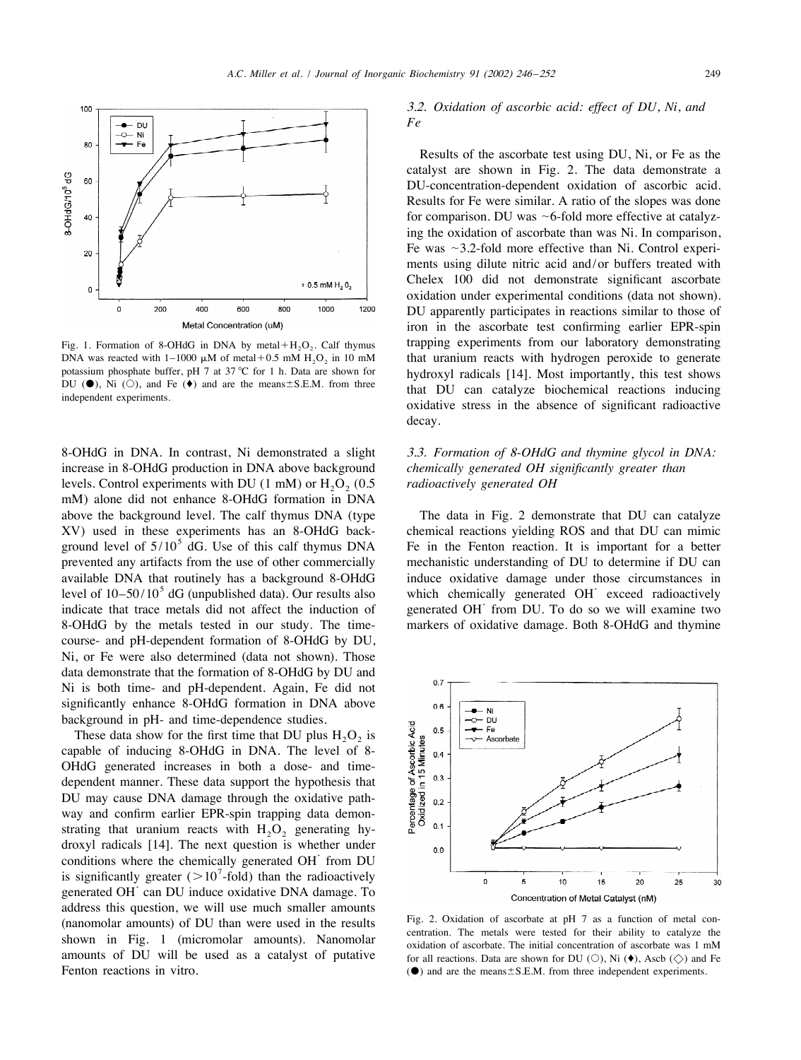

DNA was reacted with 1–1000  $\mu$ M of metal+0.5 mM H<sub>2</sub>O<sub>2</sub> in 10 mM that uranium reacts with hydrogen peroxide to generate potassium phosphate buffer, pH 7 at 37 °C for 1 h. Data are shown for hydroxyl radicals [141] Most

8-OHdG in DNA. In contrast, Ni demonstrated a slight 3 .3. *Formation of* <sup>8</sup>-*OHdG and thymine glycol in DNA*: increase in 8-OHdG production in DNA above background *chemically generated OH significantly greater than* levels. Control experiments with DU (1 mM) or H<sub>2</sub>O<sub>2</sub> (0.5 *radioactively generated OH* mM) alone did not enhance 8-OHdG formation in DNA above the background level. The calf thymus DNA (type The data in Fig. 2 demonstrate that DU can catalyze  $XV$ ) used in these experiments has an 8-OHdG back-<br>ground level of  $5/10^5$  dG. Use of this calf thymus DNA Fe in the Fenton reaction. It is important for a better prevented any artifacts from the use of other commercially mechanistic understanding of DU to determine if DU can available DNA that routinely has a background 8-OHdG induce oxidative damage under those circumstances in<br>level of 10–50/10<sup>5</sup> dG (unpublished data). Our results also which chemically generated OH exceed radioactively<br>indi 8-OHdG by the metals tested in our study. The time- markers of oxidative damage. Both 8-OHdG and thymine course- and pH-dependent formation of 8-OHdG by DU, Ni, or Fe were also determined (data not shown). Those data demonstrate that the formation of 8-OHdG by DU and Ni is both time- and pH-dependent. Again, Fe did not significantly enhance 8-OHdG formation in DNA above background in pH- and time-dependence studies.

These data show for the first time that DU plus  $H_2O_2$  is capable of inducing 8-OHdG in DNA. The level of 8- OHdG generated increases in both a dose- and timedependent manner. These data support the hypothesis that DU may cause DNA damage through the oxidative pathway and confirm earlier EPR-spin trapping data demonstrating that uranium reacts with  $H_2O_2$  generating hy-<br>droxyl radicals [14]. The next question is whether under conditions where the chemically generated OH<sup> $\cdot$ </sup> from DU is significantly greater ( $>10^{7}$ -fold) than the radioactively generated OH $\cdot$  can DU induce oxidative DNA damage. To address this question, we will use much smaller amounts (nanomolar amounts) of DU than were used in the results<br>shown in Fig. 1 (micromolar amounts). Nanomolar<br>amounts of DU will be used as a catalyst of putative<br>the social reactions Data are shown for DU (O) Ni ( $\bullet$ ) Asch (

## 3 .2. *Oxidation of ascorbic acid*: *effect of DU*, *Ni*, *and Fe*

Results of the ascorbate test using DU, Ni, or Fe as the catalyst are shown in Fig. 2. The data demonstrate a DU-concentration-dependent oxidation of ascorbic acid. Results for Fe were similar. A ratio of the slopes was done for comparison. DU was  $\sim$  6-fold more effective at catalyzing the oxidation of ascorbate than was Ni. In comparison, Fe was  $\sim$ 3.2-fold more effective than Ni. Control experiments using dilute nitric acid and/or buffers treated with Chelex 100 did not demonstrate significant ascorbate oxidation under experimental conditions (data not shown). DU apparently participates in reactions similar to those of iron in the ascorbate test confirming earlier EPR-spin Fig. 1. Formation of 8-OHdG in DNA by metal+H<sub>2</sub>O<sub>2</sub>. Calf thymus trapping experiments from our laboratory demonstrating DNA was reacted with 1–1000  $\mu$ M of metal+0.5 mM H<sub>2</sub>O<sub>2</sub> in 10 mM that uranium reacts with hydroge potassium phosphate buffer, pH 7 at 37 °C for 1 h. Data are shown for<br>DU ( $\bullet$ ), Ni ( $\circ$ ), and Fe ( $\bullet$ ) and are the means±S.E.M. from three that DU can catalyze biochemical reactions inducing<br>independent experiments.<br>in decay.



amounts of DU will be used as a catalyst of putative for all reactions. Data are shown for DU (O), Ni ( $\bullet$ ), Ascb ( $\Diamond$ ) and Fe Fenton reactions in vitro.  $\Theta$  and are the means  $\pm$  S.E.M. from three independent experiments.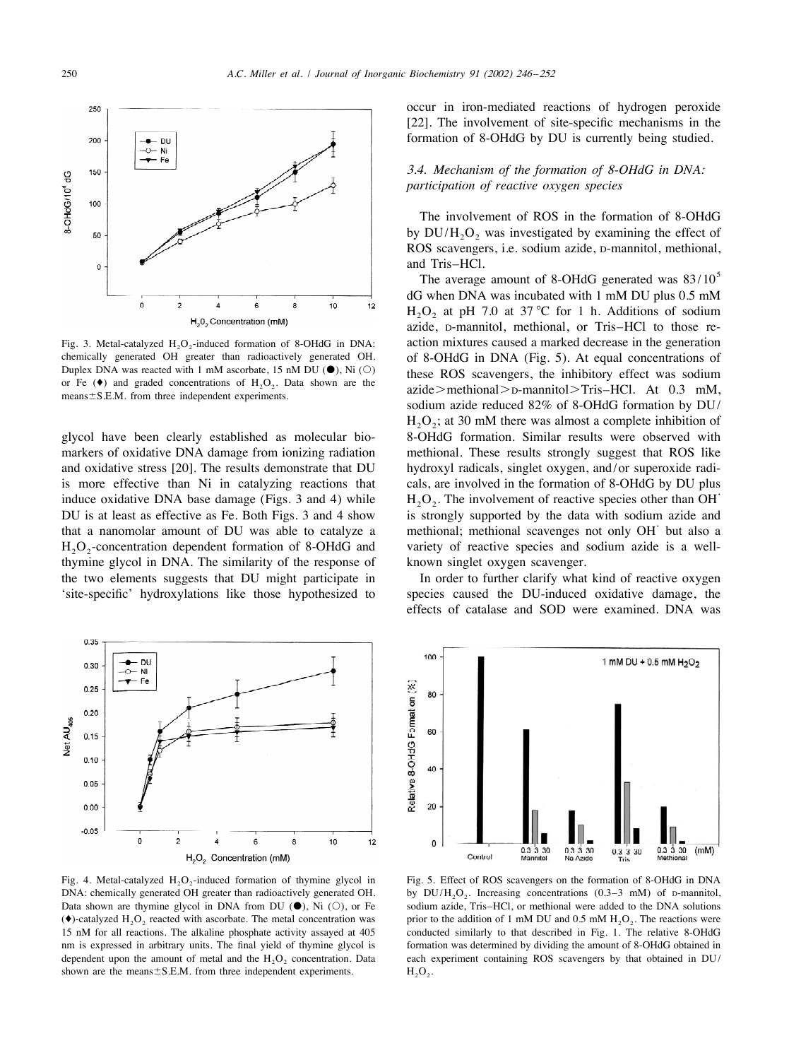

chemically generated OH greater than radioactively generated OH. of 8-OHdG in DNA (Fig. 5). At equal concentrations of Duplex DNA was reacted with 1 mM ascorbate, 15 nM DU ( $\bullet$ ), Ni ( $\circ$ ) these DOS scaliangers, the inhi

markers of oxidative DNA damage from ionizing radiation methional. These results strongly suggest that ROS like and oxidative stress [20]. The results demonstrate that DU hydroxyl radicals, singlet oxygen, and/or superoxide radiis more effective than Ni in catalyzing reactions that cals, are involved in the formation of 8-OHdG by DU plus<br>induce oxidative DNA base damage (Figs. 3 and 4) while  $H_2O_2$ . The involvement of reactive species other th that a nanomolar amount of DU was able to catalyze a methional; methional scavenges not only OH but also a  $H_2O_2$ -concentration dependent formation of 8-OHdG and variety of reactive species and sodium azide is a wellthymine glycol in DNA. The similarity of the response of known singlet oxygen scavenger. the two elements suggests that DU might participate in In order to further clarify what kind of reactive oxygen 'site-specific' hydroxylations like those hypothesized to species caused the DU-induced oxidative damage, the



shown are the means  $\pm$  S.E.M. from three independent experiments.  $H_2O_2$ .

occur in iron-mediated reactions of hydrogen peroxide [22]. The involvement of site-specific mechanisms in the formation of 8-OHdG by DU is currently being studied.

# 3 .4. *Mechanism of the formation of* <sup>8</sup>-*OHdG in DNA*: *participation of reactive oxygen species*

The involvement of ROS in the formation of 8-OHdG by  $DU/H<sub>2</sub>O<sub>2</sub>$  was investigated by examining the effect of ROS scavengers, i.e. sodium azide, D-mannitol, methional, and Tris–HCl.<br>The average amount of 8-OHdG generated was  $83/10^5$ 

dG when DNA was incubated with 1 mM DU plus 0.5 mM  $H<sub>2</sub>O<sub>2</sub>$  at pH 7.0 at 37 °C for 1 h. Additions of sodium azide, D-mannitol, methional, or Tris–HCl to those re-Fig. 3. Metal-catalyzed H<sub>2</sub>O<sub>2</sub>-induced formation of 8-OHdG in DNA: action mixtures caused a marked decrease in the generation Duplex DNA was reacted with 1 mM ascorbate, 15 nM DU ( $\bullet$ ), Ni ( $\circ$ )<br>or Fe ( $\bullet$ ) and graded concentrations of H<sub>2</sub>O<sub>2</sub>. Data shown are the<br>means ± S.E.M. from three independent experiments.<br>sodium azide > methional > D  $H<sub>2</sub>O<sub>2</sub>$ ; at 30 mM there was almost a complete inhibition of glycol have been clearly established as molecular bio- 8-OHdG formation. Similar results were observed with

effects of catalase and SOD were examined. DNA was



Fig. 4. Metal-catalyzed  $H_2O_2$ -induced formation of thymine glycol in Fig. 5. Effect of ROS scavengers on the formation of 8-OHdG in DNA DNA: chemically generated OH greater than radioactively generated OH. by DU/H,O,. DNA: chemically generated OH greater than radioactively generated OH. by  $DU/H_2O_2$ . Increasing concentrations (0.3–3 mM) of D-mannitol, Data shown are thymine glycol in DNA from DU ( $\bullet$ ), Ni (O), or Fe sodium azide, Tris sodium azide, Tris–HCl, or methional were added to the DNA solutions (♦)-catalyzed H O reacted with ascorbate. The metal concentration was prior to the addition of 1 mM DU and 0.5 mM H O . The reactions were 2 2 2 2 conducted similarly to that described in Fig. 1. The relative 8-OHdG nm is expressed in arbitrary units. The final yield of thymine glycol is formation was determined by dividing the amount of 8-OHdG obtained in dependent upon the amount of metal and the  $H_2O_2$  concentration. Data each experiment containing ROS scavengers by that obtained in DU/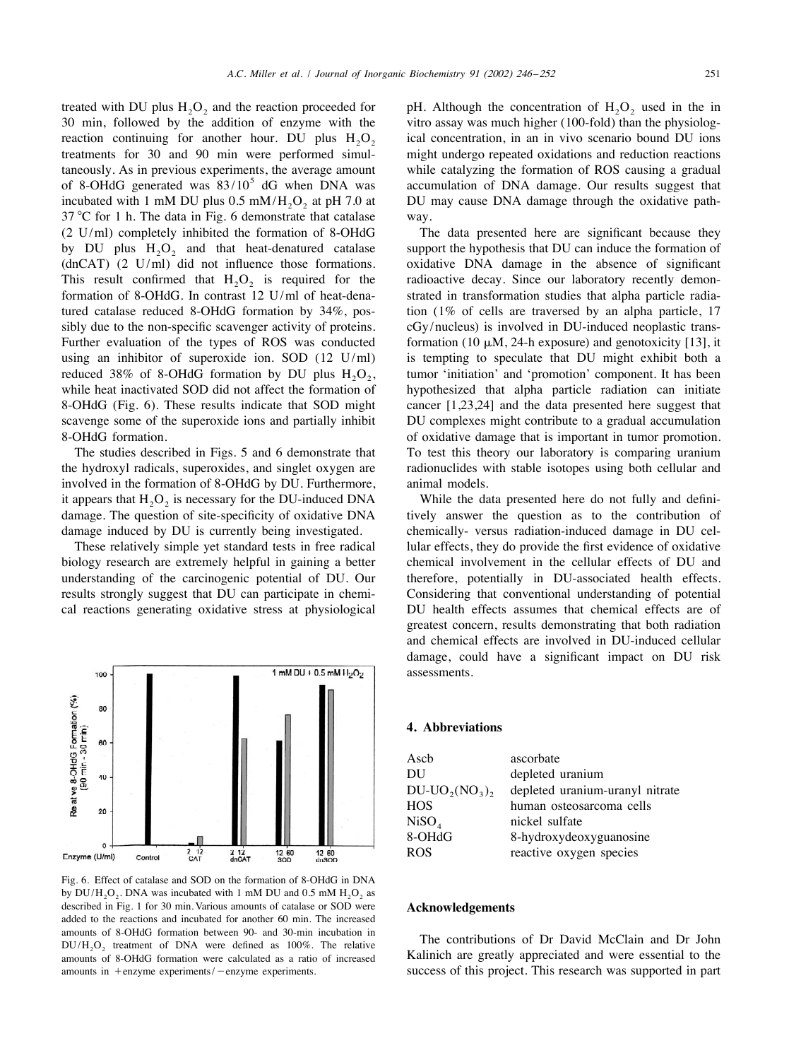treated with DU plus  $H_2O_2$  and the reaction proceeded for pH. Although the concentration of  $H_2O_2$  used in the in 20 min, followed by the addition of enzyme with the vitro assay was much higher (100-fold) than the ph reaction continuing for another hour. DU plus  $H_2O_2$  ical concentration, in an in vivo scenario bound DU ions treatments for 30 and 90 min were performed simul-<br>might undergo repeated oxidations and reduction reactions taneously. As in previous experiments, the average amount while catalyzing the formation of ROS causing a gradual of 8-OHdG generated was  $83/10^5$  dG when DNA was accumulation of DNA damage. Our results suggest that incubated with 1 mM DU plus  $0.5 \text{ mM/H}_2\text{O}_2$  at pH 7.0 at DU may cause DNA damage through the oxidative path- $37^{\circ}$ C for 1 h. The data in Fig. 6 demonstrate that catalase way. (2 U/ml) completely inhibited the formation of 8-OHdG The data presented here are significant because they by DU plus  $H_2O_2$  and that heat-denatured catalase support the hypothesis that DU can induce the formation of (dnCAT) (2 U/ml) did not influence those formations. oxidative DNA damage in the absence of significant This result confirmed that  $H_2O_2$  is required for the radioactive decay. Since our laboratory recently demon-<br>formation of 8-OHdG. In contrast 12 U/ml of heat-dena-<br>strated in transformation studies that alpha particle tured catalase reduced 8-OHdG formation by 34%, pos- tion (1% of cells are traversed by an alpha particle, 17 sibly due to the non-specific scavenger activity of proteins. cGy/nucleus) is involved in DU-induced neoplastic trans-Further evaluation of the types of ROS was conducted formation (10  $\mu$ M, 24-h exposure) and genotoxicity [13], it using an inhibitor of superoxide ion. SOD (12 U/ml) is tempting to speculate that DU might exhibit both a reduced 38% of 8-OHdG formation by DU plus  $H_2O_2$ , tumor 'initiation' and 'promotion' component. It has been while heat inactivated SOD did not affect the formation of hypothesized that alpha particle radiation can init 8-OHdG (Fig. 6). These results indicate that SOD might cancer [1,23,24] and the data presented here suggest that scavenge some of the superoxide ions and partially inhibit DU complexes might contribute to a gradual accumulation 8-OHdG formation. of oxidative damage that is important in tumor promotion.

the hydroxyl radicals, superoxides, and singlet oxygen are radionuclides with stable isotopes using both cellular and involved in the formation of 8-OHdG by DU. Furthermore, animal models. it appears that  $H_2O_2$  is necessary for the DU-induced DNA While the data presented here do not fully and definidamage. The question of site-specificity of oxidative DNA tively answer the question as to the contribution of damage induced by DU is currently being investigated. chemically-versus radiation-induced damage in DU cel-



Fig. 6. Effect of catalase and SOD on the formation of 8-OHdG in DNA by  $DU/H$ ,  $O_2$ . DNA was incubated with 1 mM DU and 0.5 mM  $H$ ,  $O_2$  as described in Fig. 1 for 30 min. Various amounts of catalase or SOD were **Acknowledgements** added to the reactions and incubated for another 60 min. The increased amounts of 8-OHdG formation between 90- and 30-min incubation in<br> $DU/H_2O_2$  treatment of DNA were defined as 100%. The relative amounts of Dr David McClain and Dr John amounts of 8-OHdG formation were calculated as a ratio amounts of 8-OHdG formation were calculated as a ratio of increased

vitro assay was much higher (100-fold) than the physiologmight undergo repeated oxidations and reduction reactions

oxidative DNA damage in the absence of significant strated in transformation studies that alpha particle radiahypothesized that alpha particle radiation can initiate The studies described in Figs. 5 and 6 demonstrate that To test this theory our laboratory is comparing uranium

These relatively simple yet standard tests in free radical lular effects, they do provide the first evidence of oxidative biology research are extremely helpful in gaining a better chemical involvement in the cellular effects of DU and understanding of the carcinogenic potential of DU. Our therefore, potentially in DU-associated health effects. results strongly suggest that DU can participate in chemi- Considering that conventional understanding of potential cal reactions generating oxidative stress at physiological DU health effects assumes that chemical effects are of greatest concern, results demonstrating that both radiation and chemical effects are involved in DU-induced cellular damage, could have a significant impact on DU risk assessments.

### **4. Abbreviations**

| Ascb           | ascorbate                       |
|----------------|---------------------------------|
| DU             | depleted uranium                |
| $DU-UO2(NO3)2$ | depleted uranium-uranyl nitrate |
| HOS.           | human osteosarcoma cells        |
| NiSO4          | nickel sulfate                  |
| 8-OHdG         | 8-hydroxydeoxyguanosine         |
| ROS            | reactive oxygen species         |
|                |                                 |

amounts in  $+$ enzyme experiments/  $-$ enzyme experiments. success of this project. This research was supported in part